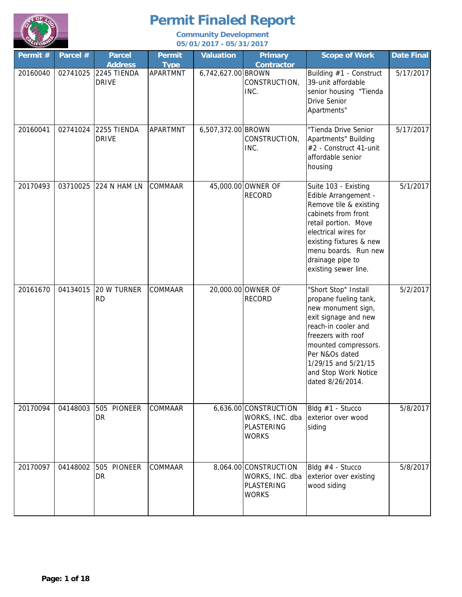

| Permit # | Parcel # | <b>Parcel</b><br><b>Address</b> | <b>Permit</b><br><b>Type</b> | <b>Valuation</b>   | <b>Primary</b><br><b>Contractor</b>                                    | <b>Scope of Work</b>                                                                                                                                                                                                                                  | Date Final |
|----------|----------|---------------------------------|------------------------------|--------------------|------------------------------------------------------------------------|-------------------------------------------------------------------------------------------------------------------------------------------------------------------------------------------------------------------------------------------------------|------------|
| 20160040 | 02741025 | 2245 TIENDA<br><b>DRIVE</b>     | <b>APARTMNT</b>              | 6,742,627.00 BROWN | CONSTRUCTION,<br>INC.                                                  | Building #1 - Construct<br>39-unit affordable<br>senior housing "Tienda<br><b>Drive Senior</b><br>Apartments"                                                                                                                                         | 5/17/2017  |
| 20160041 | 02741024 | 2255 TIENDA<br><b>DRIVE</b>     | <b>APARTMNT</b>              | 6,507,372.00 BROWN | CONSTRUCTION,<br>INC.                                                  | "Tienda Drive Senior<br>Apartments" Building<br>#2 - Construct 41-unit<br>affordable senior<br>housing                                                                                                                                                | 5/17/2017  |
| 20170493 | 03710025 | 224 N HAM LN                    | <b>COMMAAR</b>               |                    | 45,000.00 OWNER OF<br><b>RECORD</b>                                    | Suite 103 - Existing<br>Edible Arrangement -<br>Remove tile & existing<br>cabinets from front<br>retail portion. Move<br>electrical wires for<br>existing fixtures & new<br>menu boards. Run new<br>drainage pipe to<br>existing sewer line.          | 5/1/2017   |
| 20161670 | 04134015 | 20 W TURNER<br><b>RD</b>        | COMMAAR                      |                    | 20,000.00 OWNER OF<br><b>RECORD</b>                                    | "Short Stop" Install<br>propane fueling tank,<br>new monument sign,<br>exit signage and new<br>reach-in cooler and<br>freezers with roof<br>mounted compressors.<br>Per N&Os dated<br>1/29/15 and 5/21/15<br>and Stop Work Notice<br>dated 8/26/2014. | 5/2/2017   |
| 20170094 | 04148003 | 505 PIONEER<br>DR               | <b>COMMAAR</b>               |                    | 6,636.00 CONSTRUCTION<br>WORKS, INC. dba<br>PLASTERING<br><b>WORKS</b> | Bldg #1 - Stucco<br>exterior over wood<br>siding                                                                                                                                                                                                      | 5/8/2017   |
| 20170097 | 04148002 | 505 PIONEER<br><b>DR</b>        | <b>COMMAAR</b>               |                    | 8,064.00 CONSTRUCTION<br>WORKS, INC. dba<br>PLASTERING<br><b>WORKS</b> | Bldg #4 - Stucco<br>exterior over existing<br>wood siding                                                                                                                                                                                             | 5/8/2017   |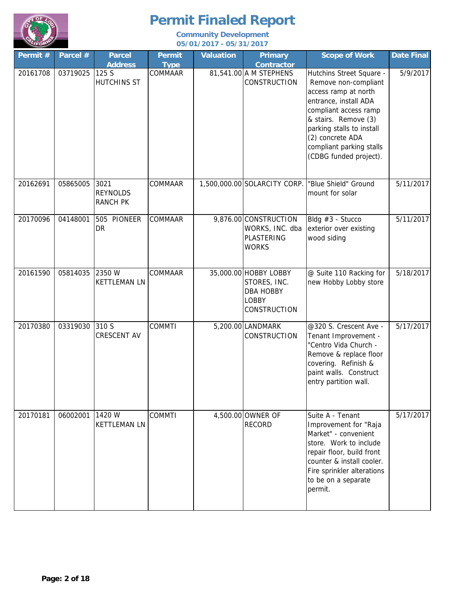

| Permit # | Parcel # | <b>Parcel</b><br><b>Address</b>            | <b>Permit</b><br><b>Type</b> | <b>Valuation</b> | <b>Primary</b><br><b>Contractor</b>                                                       | <b>Scope of Work</b>                                                                                                                                                                                                                                      | Date Final |
|----------|----------|--------------------------------------------|------------------------------|------------------|-------------------------------------------------------------------------------------------|-----------------------------------------------------------------------------------------------------------------------------------------------------------------------------------------------------------------------------------------------------------|------------|
| 20161708 | 03719025 | 125 S<br><b>HUTCHINS ST</b>                | COMMAAR                      |                  | 81,541.00 A M STEPHENS<br><b>CONSTRUCTION</b>                                             | Hutchins Street Square -<br>Remove non-compliant<br>access ramp at north<br>entrance, install ADA<br>compliant access ramp<br>& stairs. Remove (3)<br>parking stalls to install<br>(2) concrete ADA<br>compliant parking stalls<br>(CDBG funded project). | 5/9/2017   |
| 20162691 | 05865005 | 3021<br><b>REYNOLDS</b><br><b>RANCH PK</b> | COMMAAR                      |                  | 1,500,000.00 SOLARCITY CORP.                                                              | "Blue Shield" Ground<br>mount for solar                                                                                                                                                                                                                   | 5/11/2017  |
| 20170096 | 04148001 | 505 PIONEER<br>DR                          | <b>COMMAAR</b>               |                  | 9,876.00 CONSTRUCTION<br>WORKS, INC. dba<br>PLASTERING<br><b>WORKS</b>                    | Bldg #3 - Stucco<br>exterior over existing<br>wood siding                                                                                                                                                                                                 | 5/11/2017  |
| 20161590 | 05814035 | 2350 W<br><b>KETTLEMAN LN</b>              | <b>COMMAAR</b>               |                  | 35,000.00 HOBBY LOBBY<br>STORES, INC.<br><b>DBA HOBBY</b><br><b>LOBBY</b><br>CONSTRUCTION | @ Suite 110 Racking for<br>new Hobby Lobby store                                                                                                                                                                                                          | 5/18/2017  |
| 20170380 | 03319030 | 310 S<br><b>CRESCENT AV</b>                | <b>COMMTI</b>                |                  | 5,200.00 LANDMARK<br><b>CONSTRUCTION</b>                                                  | @320 S. Crescent Ave -<br>Tenant Improvement -<br>"Centro Vida Church -<br>Remove & replace floor<br>covering. Refinish &<br>paint walls. Construct<br>entry partition wall.                                                                              | 5/17/2017  |
| 20170181 | 06002001 | 1420 W<br><b>KETTLEMAN LN</b>              | <b>COMMTI</b>                |                  | 4,500.00 OWNER OF<br><b>RECORD</b>                                                        | Suite A - Tenant<br>Improvement for "Raja<br>Market" - convenient<br>store. Work to include<br>repair floor, build front<br>counter & install cooler.<br>Fire sprinkler alterations<br>to be on a separate<br>permit.                                     | 5/17/2017  |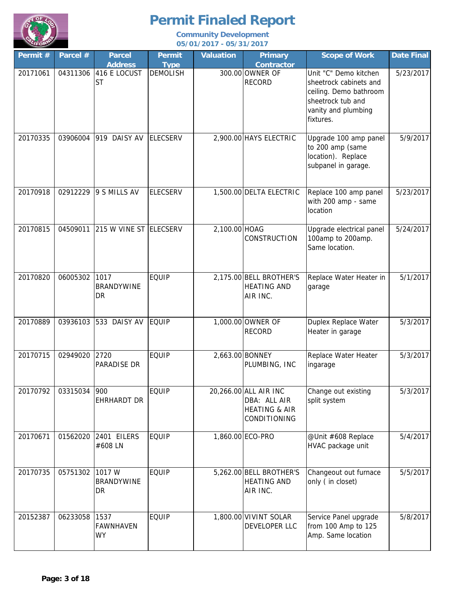

| Permit # | Parcel # | <b>Parcel</b><br><b>Address</b>    | <b>Permit</b><br><b>Type</b> | <b>Valuation</b> | <b>Primary</b><br><b>Contractor</b>                                               | <b>Scope of Work</b>                                                                                                               | <b>Date Final</b> |
|----------|----------|------------------------------------|------------------------------|------------------|-----------------------------------------------------------------------------------|------------------------------------------------------------------------------------------------------------------------------------|-------------------|
| 20171061 |          | 04311306 416 E LOCUST<br><b>ST</b> | <b>DEMOLISH</b>              |                  | 300.00 OWNER OF<br><b>RECORD</b>                                                  | Unit "C" Demo kitchen<br>sheetrock cabinets and<br>ceiling. Demo bathroom<br>sheetrock tub and<br>vanity and plumbing<br>fixtures. | 5/23/2017         |
| 20170335 | 03906004 | 919 DAISY AV                       | <b>ELECSERV</b>              |                  | 2,900.00 HAYS ELECTRIC                                                            | Upgrade 100 amp panel<br>to 200 amp (same<br>location). Replace<br>subpanel in garage.                                             | 5/9/2017          |
| 20170918 | 02912229 | 9 S MILLS AV                       | <b>ELECSERV</b>              |                  | 1,500.00 DELTA ELECTRIC                                                           | Replace 100 amp panel<br>with 200 amp - same<br>location                                                                           | 5/23/2017         |
| 20170815 | 04509011 | 215 W VINE ST ELECSERV             |                              | 2,100.00 HOAG    | CONSTRUCTION                                                                      | Upgrade electrical panel<br>100amp to 200amp.<br>Same location.                                                                    | 5/24/2017         |
| 20170820 | 06005302 | 1017<br><b>BRANDYWINE</b><br>DR    | <b>EQUIP</b>                 |                  | 2,175.00 BELL BROTHER'S<br><b>HEATING AND</b><br>AIR INC.                         | Replace Water Heater in<br>garage                                                                                                  | 5/1/2017          |
| 20170889 |          | 03936103 533 DAISY AV              | EQUIP                        |                  | 1,000.00 OWNER OF<br><b>RECORD</b>                                                | Duplex Replace Water<br>Heater in garage                                                                                           | 5/3/2017          |
| 20170715 | 02949020 | 2720<br>PARADISE DR                | <b>EQUIP</b>                 |                  | 2,663.00 BONNEY<br>PLUMBING, INC                                                  | Replace Water Heater<br>ingarage                                                                                                   | 5/3/2017          |
| 20170792 | 03315034 | 900<br><b>EHRHARDT DR</b>          | <b>EQUIP</b>                 |                  | 20,266.00 ALL AIR INC<br>DBA: ALL AIR<br><b>HEATING &amp; AIR</b><br>CONDITIONING | Change out existing<br>split system                                                                                                | 5/3/2017          |
| 20170671 | 01562020 | 2401 EILERS<br>#608 LN             | <b>EQUIP</b>                 |                  | 1,860.00 ECO-PRO                                                                  | @Unit #608 Replace<br>HVAC package unit                                                                                            | 5/4/2017          |
| 20170735 | 05751302 | 1017 W<br><b>BRANDYWINE</b><br>DR  | <b>EQUIP</b>                 |                  | 5,262.00 BELL BROTHER'S<br><b>HEATING AND</b><br>AIR INC.                         | Changeout out furnace<br>only (in closet)                                                                                          | 5/5/2017          |
| 20152387 | 06233058 | 1537<br><b>FAWNHAVEN</b><br>WY     | <b>EQUIP</b>                 |                  | 1,800.00 VIVINT SOLAR<br>DEVELOPER LLC                                            | Service Panel upgrade<br>from 100 Amp to 125<br>Amp. Same location                                                                 | 5/8/2017          |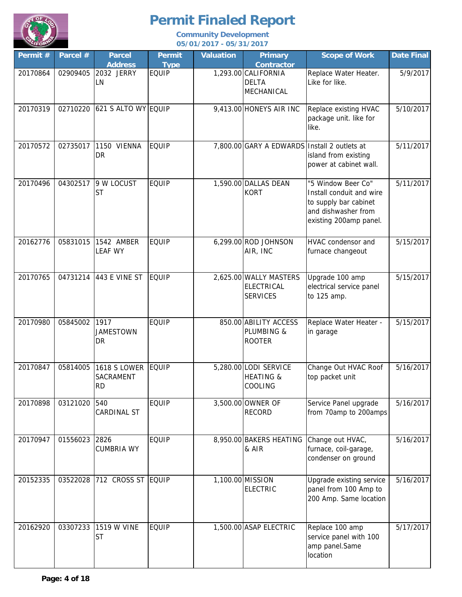

| Permit # | Parcel # | <b>Parcel</b><br><b>Address</b>       | <b>Permit</b><br><b>Type</b> | <b>Valuation</b> | <b>Primary</b><br><b>Contractor</b>                      | <b>Scope of Work</b>                                                                                                     | <b>Date Final</b> |
|----------|----------|---------------------------------------|------------------------------|------------------|----------------------------------------------------------|--------------------------------------------------------------------------------------------------------------------------|-------------------|
| 20170864 | 02909405 | 2032 JERRY<br>LN                      | <b>EQUIP</b>                 |                  | 1,293.00 CALIFORNIA<br><b>DELTA</b><br>MECHANICAL        | Replace Water Heater.<br>Like for like.                                                                                  | 5/9/2017          |
| 20170319 |          | 02710220 621 S ALTO WY EQUIP          |                              |                  | $9,413.00$ HONEYS AIR INC                                | Replace existing HVAC<br>package unit. like for<br>like.                                                                 | 5/10/2017         |
| 20170572 | 02735017 | 1150 VIENNA<br>DR                     | <b>EQUIP</b>                 |                  | 7,800.00 GARY A EDWARDS Install 2 outlets at             | island from existing<br>power at cabinet wall.                                                                           | 5/11/2017         |
| 20170496 | 04302517 | 9 W LOCUST<br><b>ST</b>               | <b>EQUIP</b>                 |                  | 1,590.00 DALLAS DEAN<br><b>KORT</b>                      | "5 Window Beer Co"<br>Install conduit and wire<br>to supply bar cabinet<br>and dishwasher from<br>existing 200amp panel. | 5/11/2017         |
| 20162776 | 05831015 | 1542 AMBER<br><b>LEAF WY</b>          | <b>EQUIP</b>                 |                  | 6,299.00 ROD JOHNSON<br>AIR, INC                         | HVAC condensor and<br>furnace changeout                                                                                  | 5/15/2017         |
| 20170765 | 04731214 | 443 E VINE ST                         | <b>EQUIP</b>                 |                  | 2,625.00 WALLY MASTERS<br>ELECTRICAL<br><b>SERVICES</b>  | Upgrade 100 amp<br>electrical service panel<br>to 125 amp.                                                               | 5/15/2017         |
| 20170980 | 05845002 | 1917<br><b>JAMESTOWN</b><br>DR        | <b>EQUIP</b>                 |                  | 850.00 ABILITY ACCESS<br>PLUMBING &<br><b>ROOTER</b>     | Replace Water Heater -<br>in garage                                                                                      | 5/15/2017         |
| 20170847 | 05814005 | 1618 S LOWER EQUIP<br>SACRAMENT<br>RD |                              |                  | 5,280.00 LODI SERVICE<br><b>HEATING &amp;</b><br>COOLING | Change Out HVAC Roof<br>top packet unit                                                                                  | 5/16/2017         |
| 20170898 | 03121020 | 540<br>CARDINAL ST                    | <b>EQUIP</b>                 |                  | 3,500.00 OWNER OF<br><b>RECORD</b>                       | Service Panel upgrade<br>from 70amp to 200amps                                                                           | 5/16/2017         |
| 20170947 | 01556023 | 2826<br><b>CUMBRIA WY</b>             | <b>EQUIP</b>                 |                  | 8,950.00 BAKERS HEATING<br>& AIR                         | Change out HVAC,<br>furnace, coil-garage,<br>condenser on ground                                                         | 5/16/2017         |
| 20152335 | 03522028 | 712 CROSS ST EQUIP                    |                              |                  | 1,100.00 MISSION<br>ELECTRIC                             | Upgrade existing service<br>panel from 100 Amp to<br>200 Amp. Same location                                              | 5/16/2017         |
| 20162920 | 03307233 | 1519 W VINE<br><b>ST</b>              | <b>EQUIP</b>                 |                  | 1,500.00 ASAP ELECTRIC                                   | Replace 100 amp<br>service panel with 100<br>amp panel.Same<br>location                                                  | 5/17/2017         |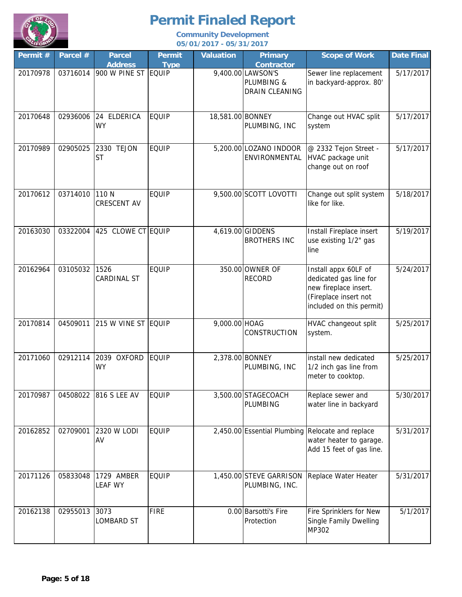

| Permit # | Parcel # | <b>Parcel</b><br><b>Address</b> | <b>Permit</b><br><b>Type</b> | <b>Valuation</b> | <b>Primary</b><br><b>Contractor</b>                      | <b>Scope of Work</b>                                                                                                         | <b>Date Final</b> |
|----------|----------|---------------------------------|------------------------------|------------------|----------------------------------------------------------|------------------------------------------------------------------------------------------------------------------------------|-------------------|
| 20170978 | 03716014 | 900 W PINE ST EQUIP             |                              |                  | 9,400.00 LAWSON'S<br>PLUMBING &<br><b>DRAIN CLEANING</b> | Sewer line replacement<br>in backyard-approx. 80'                                                                            | 5/17/2017         |
| 20170648 | 02936006 | 24 ELDERICA<br>WY               | <b>EQUIP</b>                 | 18,581.00 BONNEY | PLUMBING, INC                                            | Change out HVAC split<br>system                                                                                              | 5/17/2017         |
| 20170989 | 02905025 | 2330 TEJON<br><b>ST</b>         | <b>EQUIP</b>                 |                  | 5,200.00 LOZANO INDOOR<br>ENVIRONMENTAL                  | @ 2332 Tejon Street -<br>HVAC package unit<br>change out on roof                                                             | 5/17/2017         |
| 20170612 | 03714010 | 110N<br><b>CRESCENT AV</b>      | <b>EQUIP</b>                 |                  | 9,500.00 SCOTT LOVOTTI                                   | Change out split system<br>like for like.                                                                                    | 5/18/2017         |
| 20163030 | 03322004 | 425 CLOWE CT EQUIP              |                              |                  | 4,619.00 GIDDENS<br><b>BROTHERS INC</b>                  | Install Fireplace insert<br>use existing 1/2" gas<br>line                                                                    | 5/19/2017         |
| 20162964 | 03105032 | 1526<br>CARDINAL ST             | <b>EQUIP</b>                 |                  | 350.00 OWNER OF<br><b>RECORD</b>                         | Install appx 60LF of<br>dedicated gas line for<br>new fireplace insert.<br>(Fireplace insert not<br>included on this permit) | 5/24/2017         |
| 20170814 | 04509011 | 215 W VINE ST EQUIP             |                              | 9,000.00 HOAG    | <b>CONSTRUCTION</b>                                      | HVAC changeout split<br>system.                                                                                              | 5/25/2017         |
| 20171060 | 02912114 | 2039 OXFORD<br>WY               | EQUIP                        |                  | 2,378.00 BONNEY<br>PLUMBING, INC                         | install new dedicated<br>1/2 inch gas line from<br>meter to cooktop.                                                         | 5/25/2017         |
| 20170987 | 04508022 | <b>816 S LEE AV</b>             | <b>EQUIP</b>                 |                  | 3,500.00 STAGECOACH<br>PLUMBING                          | Replace sewer and<br>water line in backyard                                                                                  | 5/30/2017         |
| 20162852 | 02709001 | 2320 W LODI<br>AV               | <b>EQUIP</b>                 |                  |                                                          | 2,450.00 Essential Plumbing Relocate and replace<br>water heater to garage.<br>Add 15 feet of gas line.                      | 5/31/2017         |
| 20171126 | 05833048 | 1729 AMBER<br><b>LEAF WY</b>    | <b>EQUIP</b>                 |                  | 1,450.00 STEVE GARRISON<br>PLUMBING, INC.                | Replace Water Heater                                                                                                         | 5/31/2017         |
| 20162138 | 02955013 | 3073<br><b>LOMBARD ST</b>       | <b>FIRE</b>                  |                  | 0.00 Barsotti's Fire<br>Protection                       | Fire Sprinklers for New<br>Single Family Dwelling<br>MP302                                                                   | 5/1/2017          |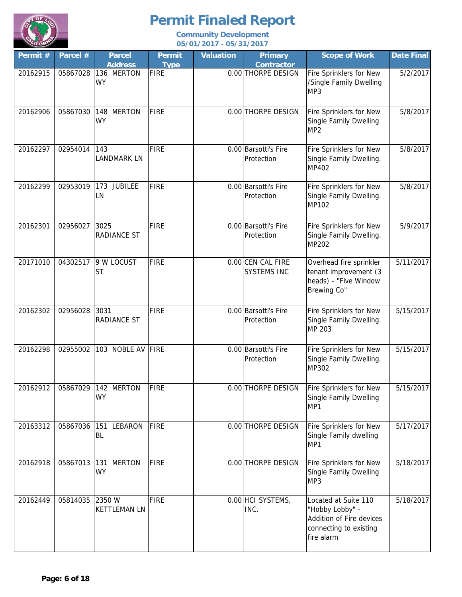

| Permit # | Parcel # | <b>Parcel</b><br><b>Address</b>   | <b>Permit</b><br><b>Type</b> | <b>Valuation</b> | <b>Primary</b><br><b>Contractor</b>     | <b>Scope of Work</b>                                                                                        | <b>Date Final</b> |
|----------|----------|-----------------------------------|------------------------------|------------------|-----------------------------------------|-------------------------------------------------------------------------------------------------------------|-------------------|
| 20162915 | 05867028 | 136 MERTON<br><b>WY</b>           | <b>FIRE</b>                  |                  | 0.00 THORPE DESIGN                      | Fire Sprinklers for New<br>/Single Family Dwelling<br>MP3                                                   | 5/2/2017          |
| 20162906 | 05867030 | 148 MERTON<br><b>WY</b>           | FIRE                         |                  | 0.00 THORPE DESIGN                      | Fire Sprinklers for New<br>Single Family Dwelling<br>MP <sub>2</sub>                                        | 5/8/2017          |
| 20162297 | 02954014 | 143<br><b>LANDMARK LN</b>         | <b>FIRE</b>                  |                  | 0.00 Barsotti's Fire<br>Protection      | Fire Sprinklers for New<br>Single Family Dwelling.<br>MP402                                                 | 5/8/2017          |
| 20162299 | 02953019 | 173 JUBILEE<br>LN                 | FIRE                         |                  | 0.00 Barsotti's Fire<br>Protection      | Fire Sprinklers for New<br>Single Family Dwelling.<br>MP102                                                 | 5/8/2017          |
| 20162301 | 02956027 | 3025<br><b>RADIANCE ST</b>        | <b>FIRE</b>                  |                  | 0.00 Barsotti's Fire<br>Protection      | Fire Sprinklers for New<br>Single Family Dwelling.<br>MP202                                                 | 5/9/2017          |
| 20171010 | 04302517 | 9 W LOCUST<br><b>ST</b>           | <b>FIRE</b>                  |                  | 0.00 CEN CAL FIRE<br><b>SYSTEMS INC</b> | Overhead fire sprinkler<br>tenant improvement (3<br>heads) - "Five Window<br>Brewing Co"                    | 5/11/2017         |
| 20162302 | 02956028 | 3031<br><b>RADIANCE ST</b>        | <b>FIRE</b>                  |                  | 0.00 Barsotti's Fire<br>Protection      | Fire Sprinklers for New<br>Single Family Dwelling.<br>MP 203                                                | 5/15/2017         |
| 20162298 | 02955002 | 103 NOBLE AV FIRE                 |                              |                  | 0.00 Barsotti's Fire<br>Protection      | Fire Sprinklers for New<br>Single Family Dwelling.<br>MP302                                                 | 5/15/2017         |
| 20162912 |          | 05867029 142 MERION<br><b>WY</b>  | FIRE                         |                  | 0.00 THORPE DESIGN                      | Fire Sprinklers for New<br>Single Family Dwelling<br>MP1                                                    | 5/15/2017         |
| 20163312 | 05867036 | 151 LEBARON<br>BL                 | FIRE                         |                  | 0.00 THORPE DESIGN                      | Fire Sprinklers for New<br>Single Family dwelling<br>MP1                                                    | 5/17/2017         |
| 20162918 | 05867013 | <b>MERTON</b><br>131<br><b>WY</b> | <b>FIRE</b>                  |                  | 0.00 THORPE DESIGN                      | Fire Sprinklers for New<br>Single Family Dwelling<br>MP3                                                    | 5/18/2017         |
| 20162449 | 05814035 | 2350 W<br><b>KETTLEMAN LN</b>     | <b>FIRE</b>                  |                  | 0.00 HCI SYSTEMS,<br>INC.               | Located at Suite 110<br>"Hobby Lobby" -<br>Addition of Fire devices<br>connecting to existing<br>fire alarm | 5/18/2017         |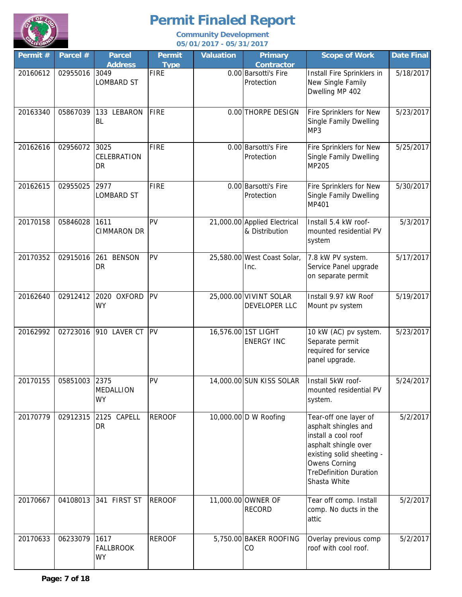

| Permit # | Parcel # | <b>Parcel</b><br><b>Address</b>       | <b>Permit</b><br><b>Type</b> | <b>Valuation</b> | <b>Primary</b><br><b>Contractor</b>            | <b>Scope of Work</b>                                                                                                                                                                               | <b>Date Final</b> |
|----------|----------|---------------------------------------|------------------------------|------------------|------------------------------------------------|----------------------------------------------------------------------------------------------------------------------------------------------------------------------------------------------------|-------------------|
| 20160612 | 02955016 | 3049<br><b>LOMBARD ST</b>             | <b>FIRE</b>                  |                  | 0.00 Barsotti's Fire<br>Protection             | Install Fire Sprinklers in<br>New Single Family<br>Dwelling MP 402                                                                                                                                 | 5/18/2017         |
| 20163340 | 05867039 | 133 LEBARON<br>BL                     | <b>FIRE</b>                  |                  | 0.00 THORPE DESIGN                             | Fire Sprinklers for New<br>Single Family Dwelling<br>MP3                                                                                                                                           | 5/23/2017         |
| 20162616 | 02956072 | 3025<br>CELEBRATION<br>DR             | <b>FIRE</b>                  |                  | 0.00 Barsotti's Fire<br>Protection             | Fire Sprinklers for New<br>Single Family Dwelling<br>MP205                                                                                                                                         | 5/25/2017         |
| 20162615 | 02955025 | 2977<br><b>LOMBARD ST</b>             | <b>FIRE</b>                  |                  | 0.00 Barsotti's Fire<br>Protection             | Fire Sprinklers for New<br>Single Family Dwelling<br>MP401                                                                                                                                         | 5/30/2017         |
| 20170158 | 05846028 | 1611<br><b>CIMMARON DR</b>            | PV                           |                  | 21,000.00 Applied Electrical<br>& Distribution | Install 5.4 kW roof-<br>mounted residential PV<br>system                                                                                                                                           | 5/3/2017          |
| 20170352 | 02915016 | 261<br><b>BENSON</b><br>DR            | PV                           |                  | 25,580.00 West Coast Solar,<br>Inc.            | 7.8 kW PV system.<br>Service Panel upgrade<br>on separate permit                                                                                                                                   | 5/17/2017         |
| 20162640 | 02912412 | 2020 OXFORD<br>WY                     | PV                           |                  | 25,000.00 VIVINT SOLAR<br>DEVELOPER LLC        | Install 9.97 kW Roof<br>Mount pv system                                                                                                                                                            | 5/19/2017         |
| 20162992 | 02723016 | 910 LAVER CT PV                       |                              |                  | 16,576.00 1ST LIGHT<br><b>ENERGY INC</b>       | 10 kW (AC) pv system.<br>Separate permit<br>required for service<br>panel upgrade.                                                                                                                 | 5/23/2017         |
| 20170155 | 05851003 | 2375<br>MEDALLION<br>WY               | PV                           |                  | 14,000.00 SUN KISS SOLAR                       | Install 5kW roof-<br>mounted residential PV<br>system.                                                                                                                                             | 5/24/2017         |
| 20170779 | 02912315 | 2125 CAPELL<br>DR                     | <b>REROOF</b>                |                  | 10,000.00 D W Roofing                          | Tear-off one layer of<br>asphalt shingles and<br>install a cool roof<br>asphalt shingle over<br>existing solid sheeting -<br><b>Owens Corning</b><br><b>TreDefinition Duration</b><br>Shasta White | 5/2/2017          |
| 20170667 | 04108013 | 341 FIRST ST                          | <b>REROOF</b>                |                  | 11,000.00 OWNER OF<br><b>RECORD</b>            | Tear off comp. Install<br>comp. No ducts in the<br>attic                                                                                                                                           | 5/2/2017          |
| 20170633 | 06233079 | 1617<br><b>FALLBROOK</b><br><b>WY</b> | <b>REROOF</b>                |                  | 5,750.00 BAKER ROOFING<br>CO                   | Overlay previous comp<br>roof with cool roof.                                                                                                                                                      | 5/2/2017          |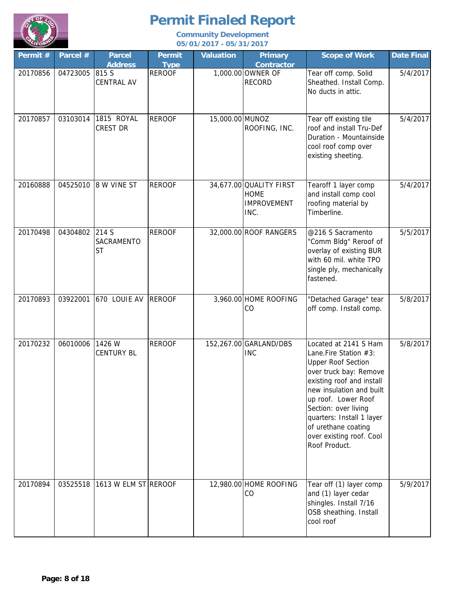

| Permit # | Parcel # | <b>Parcel</b><br><b>Address</b>  | <b>Permit</b><br><b>Type</b> | <b>Valuation</b> | <b>Primary</b><br><b>Contractor</b>                                  | <b>Scope of Work</b>                                                                                                                                                                                                                                                                                           | <b>Date Final</b> |
|----------|----------|----------------------------------|------------------------------|------------------|----------------------------------------------------------------------|----------------------------------------------------------------------------------------------------------------------------------------------------------------------------------------------------------------------------------------------------------------------------------------------------------------|-------------------|
| 20170856 | 04723005 | 815 S<br><b>CENTRAL AV</b>       | <b>REROOF</b>                |                  | 1,000.00 OWNER OF<br><b>RECORD</b>                                   | Tear off comp. Solid<br>Sheathed. Install Comp.<br>No ducts in attic.                                                                                                                                                                                                                                          | 5/4/2017          |
| 20170857 | 03103014 | 1815 ROYAL<br><b>CREST DR</b>    | <b>REROOF</b>                | 15,000.00 MUNOZ  | ROOFING, INC.                                                        | Tear off existing tile<br>roof and install Tru-Def<br>Duration - Mountainside<br>cool roof comp over<br>existing sheeting.                                                                                                                                                                                     | 5/4/2017          |
| 20160888 | 04525010 | 8 W VINE ST                      | <b>REROOF</b>                |                  | 34,677.00 QUALITY FIRST<br><b>HOME</b><br><b>IMPROVEMENT</b><br>INC. | Tearoff 1 layer comp<br>and install comp cool<br>roofing material by<br>Timberline.                                                                                                                                                                                                                            | 5/4/2017          |
| 20170498 | 04304802 | 214 S<br>SACRAMENTO<br><b>ST</b> | <b>REROOF</b>                |                  | 32,000.00 ROOF RANGERS                                               | @216 S Sacramento<br>"Comm Bldg" Reroof of<br>overlay of existing BUR<br>with 60 mil. white TPO<br>single ply, mechanically<br>fastened.                                                                                                                                                                       | 5/5/2017          |
| 20170893 | 03922001 | 670 LOUIE AV                     | <b>REROOF</b>                |                  | 3,960.00 HOME ROOFING<br>CO                                          | "Detached Garage" tear<br>off comp. Install comp.                                                                                                                                                                                                                                                              | 5/8/2017          |
| 20170232 | 06010006 | 1426 W<br><b>CENTURY BL</b>      | <b>REROOF</b>                |                  | 152,267.00 GARLAND/DBS<br><b>INC</b>                                 | Located at 2141 S Ham<br>Lane.Fire Station #3:<br><b>Upper Roof Section</b><br>over truck bay: Remove<br>existing roof and install<br>new insulation and built<br>up roof. Lower Roof<br>Section: over living<br>quarters: Install 1 layer<br>of urethane coating<br>over existing roof. Cool<br>Roof Product. | 5/8/2017          |
| 20170894 | 03525518 | 1613 W ELM ST REROOF             |                              |                  | 12,980.00 HOME ROOFING<br>CO                                         | Tear off (1) layer comp<br>and (1) layer cedar<br>shingles. Install 7/16<br>OSB sheathing. Install<br>cool roof                                                                                                                                                                                                | 5/9/2017          |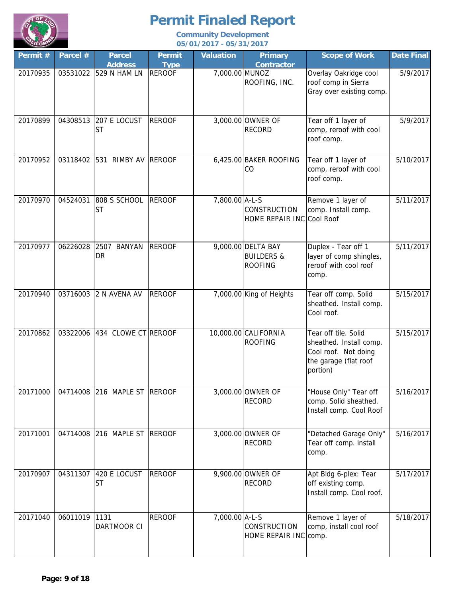

| Permit # | Parcel # | <b>Parcel</b>                           | <b>Permit</b>                | <b>Valuation</b> | <b>Primary</b>                                                | <b>Scope of Work</b>                                                                                         | Date Final |
|----------|----------|-----------------------------------------|------------------------------|------------------|---------------------------------------------------------------|--------------------------------------------------------------------------------------------------------------|------------|
| 20170935 |          | <b>Address</b><br>03531022 529 N HAM LN | <b>Type</b><br><b>REROOF</b> | 7,000.00 MUNOZ   | <b>Contractor</b><br>ROOFING, INC.                            | Overlay Oakridge cool<br>roof comp in Sierra<br>Gray over existing comp.                                     | 5/9/2017   |
| 20170899 | 04308513 | 207 E LOCUST<br><b>ST</b>               | <b>REROOF</b>                |                  | 3,000.00 OWNER OF<br><b>RECORD</b>                            | Tear off 1 layer of<br>comp, reroof with cool<br>roof comp.                                                  | 5/9/2017   |
| 20170952 | 03118402 | 531 RIMBY AV REROOF                     |                              |                  | 6,425.00 BAKER ROOFING<br>CO                                  | Tear off 1 layer of<br>comp, reroof with cool<br>roof comp.                                                  | 5/10/2017  |
| 20170970 | 04524031 | 808 S SCHOOL<br><b>ST</b>               | <b>REROOF</b>                | 7,800.00 A-L-S   | <b>CONSTRUCTION</b><br>HOME REPAIR INC                        | Remove 1 layer of<br>comp. Install comp.<br>Cool Roof                                                        | 5/11/2017  |
| 20170977 | 06226028 | 2507 BANYAN<br>DR                       | <b>REROOF</b>                |                  | 9,000.00 DELTA BAY<br><b>BUILDERS &amp;</b><br><b>ROOFING</b> | Duplex - Tear off 1<br>layer of comp shingles,<br>reroof with cool roof<br>comp.                             | 5/11/2017  |
| 20170940 |          | 03716003 2 N AVENA AV                   | <b>REROOF</b>                |                  | 7,000.00 King of Heights                                      | Tear off comp. Solid<br>sheathed. Install comp.<br>Cool roof.                                                | 5/15/2017  |
| 20170862 | 03322006 | 434 CLOWE CT REROOF                     |                              |                  | 10,000.00 CALIFORNIA<br><b>ROOFING</b>                        | Tear off tile. Solid<br>sheathed. Install comp.<br>Cool roof. Not doing<br>the garage (flat roof<br>portion) | 5/15/2017  |
| 20171000 | 04714008 | 216 MAPLE ST REROOF                     |                              |                  | 3,000.00 OWNER OF<br><b>RECORD</b>                            | "House Only" Tear off<br>comp. Solid sheathed.<br>Install comp. Cool Roof                                    | 5/16/2017  |
| 20171001 | 04714008 | 216 MAPLE ST REROOF                     |                              |                  | 3,000.00 OWNER OF<br><b>RECORD</b>                            | "Detached Garage Only"<br>Tear off comp. install<br>comp.                                                    | 5/16/2017  |
| 20170907 | 04311307 | 420 E LOCUST<br><b>ST</b>               | <b>REROOF</b>                |                  | 9,900.00 OWNER OF<br><b>RECORD</b>                            | Apt Bldg 6-plex: Tear<br>off existing comp.<br>Install comp. Cool roof.                                      | 5/17/2017  |
| 20171040 | 06011019 | 1131<br>DARTMOOR CI                     | <b>REROOF</b>                | 7,000.00 A-L-S   | <b>CONSTRUCTION</b><br>HOME REPAIR INC                        | Remove 1 layer of<br>comp, install cool roof<br>comp.                                                        | 5/18/2017  |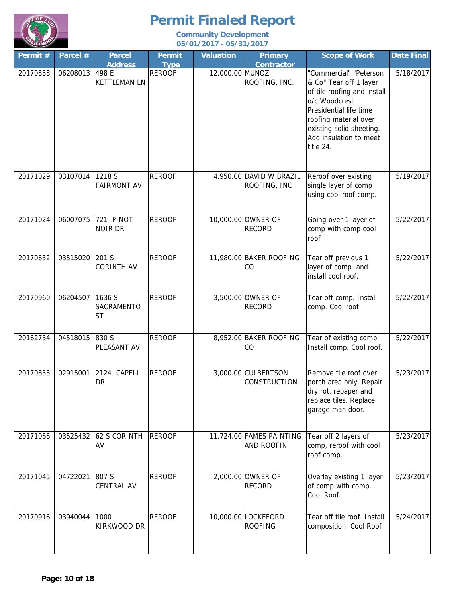

| Permit # | Parcel # | <b>Parcel</b><br><b>Address</b>   | <b>Permit</b><br><b>Type</b> | <b>Valuation</b> | <b>Primary</b><br><b>Contractor</b>           | <b>Scope of Work</b>                                                                                                                                                                                                   | <b>Date Final</b> |
|----------|----------|-----------------------------------|------------------------------|------------------|-----------------------------------------------|------------------------------------------------------------------------------------------------------------------------------------------------------------------------------------------------------------------------|-------------------|
| 20170858 | 06208013 | 498 E<br><b>KETTLEMAN LN</b>      | <b>REROOF</b>                | 12,000.00 MUNOZ  | ROOFING, INC.                                 | "Commercial" "Peterson<br>& Co" Tear off 1 layer<br>of tile roofing and install<br>o/c Woodcrest<br>Presidential life time<br>roofing material over<br>existing solid sheeting.<br>Add insulation to meet<br>title 24. | 5/18/2017         |
| 20171029 | 03107014 | 1218 S<br><b>FAIRMONT AV</b>      | <b>REROOF</b>                |                  | 4,950.00 DAVID W BRAZIL<br>ROOFING, INC       | Reroof over existing<br>single layer of comp<br>using cool roof comp.                                                                                                                                                  | 5/19/2017         |
| 20171024 | 06007075 | 721 PINOT<br><b>NOIR DR</b>       | <b>REROOF</b>                |                  | 10,000.00 OWNER OF<br><b>RECORD</b>           | Going over 1 layer of<br>comp with comp cool<br>roof                                                                                                                                                                   | 5/22/2017         |
| 20170632 | 03515020 | 201 S<br><b>CORINTH AV</b>        | <b>REROOF</b>                |                  | 11,980.00 BAKER ROOFING<br>CO                 | Tear off previous 1<br>layer of comp and<br>install cool roof.                                                                                                                                                         | 5/22/2017         |
| 20170960 | 06204507 | 1636 S<br>SACRAMENTO<br><b>ST</b> | <b>REROOF</b>                |                  | 3,500.00 OWNER OF<br><b>RECORD</b>            | Tear off comp. Install<br>comp. Cool roof                                                                                                                                                                              | 5/22/2017         |
| 20162754 | 04518015 | 830 S<br>PLEASANT AV              | <b>REROOF</b>                |                  | 8,952.00 BAKER ROOFING<br>CO                  | Tear of existing comp.<br>Install comp. Cool roof.                                                                                                                                                                     | 5/22/2017         |
| 20170853 | 02915001 | 2124 CAPELL<br>DR                 | <b>REROOF</b>                |                  | 3,000.00 CULBERTSON<br>CONSTRUCTION           | Remove tile roof over<br>porch area only. Repair<br>dry rot, repaper and<br>replace tiles. Replace<br>garage man door.                                                                                                 | 5/23/2017         |
| 20171066 | 03525432 | <b>62 S CORINTH</b><br>AV         | <b>REROOF</b>                |                  | 11,724.00 FAMES PAINTING<br><b>AND ROOFIN</b> | Tear off 2 layers of<br>comp, reroof with cool<br>roof comp.                                                                                                                                                           | 5/23/2017         |
| 20171045 | 04722021 | 807 S<br><b>CENTRAL AV</b>        | <b>REROOF</b>                |                  | 2,000.00 OWNER OF<br><b>RECORD</b>            | Overlay existing 1 layer<br>of comp with comp.<br>Cool Roof.                                                                                                                                                           | 5/23/2017         |
| 20170916 | 03940044 | 1000<br>KIRKWOOD DR               | <b>REROOF</b>                |                  | 10,000.00 LOCKEFORD<br><b>ROOFING</b>         | Tear off tile roof. Install<br>composition. Cool Roof                                                                                                                                                                  | 5/24/2017         |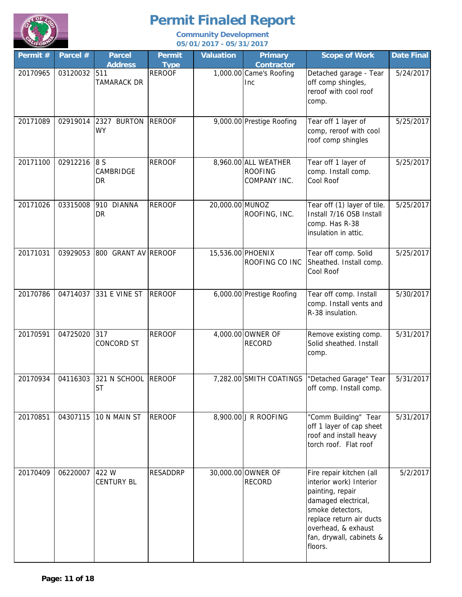

| Permit # | Parcel #     | <b>Parcel</b><br><b>Address</b> | <b>Permit</b><br><b>Type</b> | <b>Valuation</b> | <b>Primary</b><br><b>Contractor</b>                    | <b>Scope of Work</b>                                                                                                                                                                                         | Date Final |
|----------|--------------|---------------------------------|------------------------------|------------------|--------------------------------------------------------|--------------------------------------------------------------------------------------------------------------------------------------------------------------------------------------------------------------|------------|
| 20170965 | 03120032 511 | TAMARACK DR                     | <b>REROOF</b>                |                  | 1,000.00 Came's Roofing<br>Inc                         | Detached garage - Tear<br>off comp shingles,<br>reroof with cool roof<br>comp.                                                                                                                               | 5/24/2017  |
| 20171089 | 02919014     | 2327 BURTON<br><b>WY</b>        | <b>REROOF</b>                |                  | 9,000.00 Prestige Roofing                              | Tear off 1 layer of<br>comp, reroof with cool<br>roof comp shingles                                                                                                                                          | 5/25/2017  |
| 20171100 | 02912216     | 8 S<br>CAMBRIDGE<br>DR          | <b>REROOF</b>                |                  | 8,960.00 ALL WEATHER<br><b>ROOFING</b><br>COMPANY INC. | Tear off 1 layer of<br>comp. Install comp.<br>Cool Roof                                                                                                                                                      | 5/25/2017  |
| 20171026 | 03315008     | 910 DIANNA<br>DR                | <b>REROOF</b>                | 20,000.00 MUNOZ  | ROOFING, INC.                                          | Tear off (1) layer of tile.<br>Install 7/16 OSB Install<br>comp. Has R-38<br>insulation in attic.                                                                                                            | 5/25/2017  |
| 20171031 | 03929053     | 800 GRANT AV REROOF             |                              |                  | 15,536.00 PHOENIX<br>ROOFING CO INC                    | Tear off comp. Solid<br>Sheathed. Install comp.<br>Cool Roof                                                                                                                                                 | 5/25/2017  |
| 20170786 | 04714037     | 331 E VINE ST                   | <b>REROOF</b>                |                  | 6,000.00 Prestige Roofing                              | Tear off comp. Install<br>comp. Install vents and<br>R-38 insulation.                                                                                                                                        | 5/30/2017  |
| 20170591 | 04725020     | 317<br><b>CONCORD ST</b>        | <b>REROOF</b>                |                  | 4,000.00 OWNER OF<br><b>RECORD</b>                     | Remove existing comp.<br>Solid sheathed. Install<br>comp.                                                                                                                                                    | 5/31/2017  |
| 20170934 | 04116303     | 321 N SCHOOL<br><b>ST</b>       | <b>REROOF</b>                |                  | 7,282.00 SMITH COATINGS                                | "Detached Garage" Tear<br>off comp. Install comp.                                                                                                                                                            | 5/31/2017  |
| 20170851 | 04307115     | 10 N MAIN ST                    | <b>REROOF</b>                |                  | 8,900.00 J R ROOFING                                   | "Comm Building" Tear<br>off 1 layer of cap sheet<br>roof and install heavy<br>torch roof. Flat roof                                                                                                          | 5/31/2017  |
| 20170409 | 06220007     | 422 W<br><b>CENTURY BL</b>      | <b>RESADDRP</b>              |                  | 30,000.00 OWNER OF<br><b>RECORD</b>                    | Fire repair kitchen (all<br>interior work) Interior<br>painting, repair<br>damaged electrical,<br>smoke detectors,<br>replace return air ducts<br>overhead, & exhaust<br>fan, drywall, cabinets &<br>floors. | 5/2/2017   |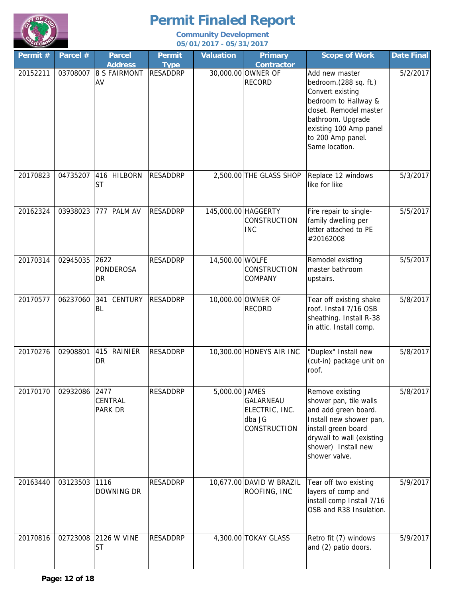

| Permit # | Parcel # | <b>Parcel</b><br><b>Address</b> | <b>Permit</b><br><b>Type</b> | <b>Valuation</b> | <b>Primary</b><br>Contractor                                 | <b>Scope of Work</b>                                                                                                                                                                                | <b>Date Final</b> |
|----------|----------|---------------------------------|------------------------------|------------------|--------------------------------------------------------------|-----------------------------------------------------------------------------------------------------------------------------------------------------------------------------------------------------|-------------------|
| 20152211 | 03708007 | <b>8 S FAIRMONT</b><br>AV       | <b>RESADDRP</b>              |                  | 30,000.00 OWNER OF<br><b>RECORD</b>                          | Add new master<br>bedroom.(288 sq. ft.)<br>Convert existing<br>bedroom to Hallway &<br>closet. Remodel master<br>bathroom. Upgrade<br>existing 100 Amp panel<br>to 200 Amp panel.<br>Same location. | 5/2/2017          |
| 20170823 | 04735207 | 416 HILBORN<br><b>ST</b>        | <b>RESADDRP</b>              |                  | 2,500.00 THE GLASS SHOP                                      | Replace 12 windows<br>like for like                                                                                                                                                                 | 5/3/2017          |
| 20162324 | 03938023 | 777 PALM AV                     | <b>RESADDRP</b>              |                  | 145,000.00 HAGGERTY<br><b>CONSTRUCTION</b><br><b>INC</b>     | Fire repair to single-<br>family dwelling per<br>letter attached to PE<br>#20162008                                                                                                                 | 5/5/2017          |
| 20170314 | 02945035 | 2622<br><b>PONDEROSA</b><br>DR  | <b>RESADDRP</b>              | 14,500.00 WOLFE  | CONSTRUCTION<br>COMPANY                                      | Remodel existing<br>master bathroom<br>upstairs.                                                                                                                                                    | 5/5/2017          |
| 20170577 | 06237060 | 341<br><b>CENTURY</b><br>BL     | RESADDRP                     |                  | 10,000.00 OWNER OF<br><b>RECORD</b>                          | Tear off existing shake<br>roof. Install 7/16 OSB<br>sheathing. Install R-38<br>in attic. Install comp.                                                                                             | 5/8/2017          |
| 20170276 | 02908801 | 415 RAINIER<br>DR               | <b>RESADDRP</b>              |                  | 10,300.00 HONEYS AIR INC                                     | "Duplex" Install new<br>(cut-in) package unit on<br>roof.                                                                                                                                           | 5/8/2017          |
| 20170170 | 02932086 | 2477<br>CENTRAL<br>PARK DR      | <b>RESADDRP</b>              | 5,000.00 JAMES   | GALARNEAU<br>ELECTRIC, INC.<br>dba JG<br><b>CONSTRUCTION</b> | Remove existing<br>shower pan, tile walls<br>and add green board.<br>Install new shower pan,<br>install green board<br>drywall to wall (existing<br>shower) Install new<br>shower valve.            | 5/8/2017          |
| 20163440 | 03123503 | 1116<br>DOWNING DR              | RESADDRP                     |                  | 10,677.00 DAVID W BRAZIL<br>ROOFING, INC                     | Tear off two existing<br>layers of comp and<br>install comp Install 7/16<br>OSB and R38 Insulation.                                                                                                 | 5/9/2017          |
| 20170816 | 02723008 | 2126 W VINE<br><b>ST</b>        | <b>RESADDRP</b>              |                  | 4,300.00 TOKAY GLASS                                         | Retro fit (7) windows<br>and (2) patio doors.                                                                                                                                                       | 5/9/2017          |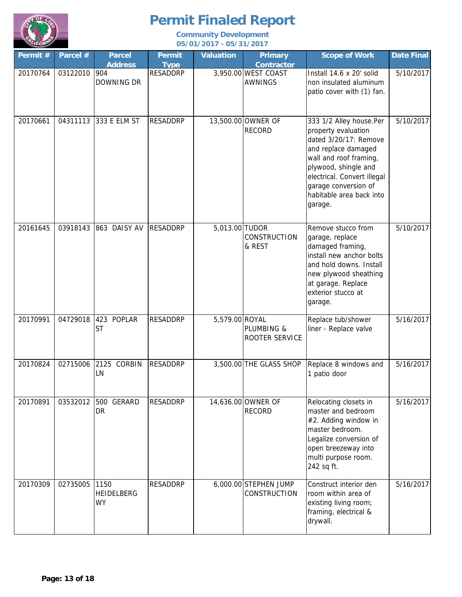

| Permit # | Parcel # | <b>Parcel</b><br><b>Address</b>        | <b>Permit</b><br><b>Type</b> | <b>Valuation</b> | <b>Primary</b><br><b>Contractor</b>   | <b>Scope of Work</b>                                                                                                                                                                                                                           | <b>Date Final</b> |
|----------|----------|----------------------------------------|------------------------------|------------------|---------------------------------------|------------------------------------------------------------------------------------------------------------------------------------------------------------------------------------------------------------------------------------------------|-------------------|
| 20170764 | 03122010 | 904<br>DOWNING DR                      | <b>RESADDRP</b>              |                  | 3,950.00 WEST COAST<br><b>AWNINGS</b> | Install 14.6 x 20' solid<br>non insulated aluminum<br>patio cover with (1) fan.                                                                                                                                                                | 5/10/2017         |
| 20170661 | 04311113 | 333 E ELM ST                           | <b>RESADDRP</b>              |                  | 13,500.00 OWNER OF<br><b>RECORD</b>   | 333 1/2 Alley house.Per<br>property evaluation<br>dated 3/20/17: Remove<br>and replace damaged<br>wall and roof framing,<br>plywood, shingle and<br>electrical. Convert illegal<br>garage conversion of<br>habitable area back into<br>garage. | 5/10/2017         |
| 20161645 |          | 03918143 863 DAISY AV                  | <b>RESADDRP</b>              | 5,013.00 TUDOR   | CONSTRUCTION<br>& REST                | Remove stucco from<br>garage, replace<br>damaged framing,<br>install new anchor bolts<br>and hold downs. Install<br>new plywood sheathing<br>at garage. Replace<br>exterior stucco at<br>garage.                                               | 5/10/2017         |
| 20170991 | 04729018 | 423 POPLAR<br><b>ST</b>                | <b>RESADDRP</b>              | 5,579.00 ROYAL   | PLUMBING &<br>ROOTER SERVICE          | Replace tub/shower<br>liner - Replace valve                                                                                                                                                                                                    | 5/16/2017         |
| 20170824 | 02715006 | 2125 CORBIN<br>LN                      | <b>RESADDRP</b>              |                  | 3,500.00 THE GLASS SHOP               | Replace 8 windows and<br>1 patio door                                                                                                                                                                                                          | 5/16/2017         |
| 20170891 | 03532012 | 500 GERARD<br><b>DR</b>                | <b>RESADDRP</b>              |                  | 14,636.00 OWNER OF<br><b>RECORD</b>   | Relocating closets in<br>master and bedroom<br>#2. Adding window in<br>master bedroom.<br>Legalize conversion of<br>open breezeway into<br>multi purpose room.<br>242 sq ft.                                                                   | 5/16/2017         |
| 20170309 | 02735005 | 1150<br><b>HEIDELBERG</b><br><b>WY</b> | <b>RESADDRP</b>              |                  | 6,000.00 STEPHEN JUMP<br>CONSTRUCTION | Construct interior den<br>room within area of<br>existing living room;<br>framing, electrical &<br>drywall.                                                                                                                                    | 5/16/2017         |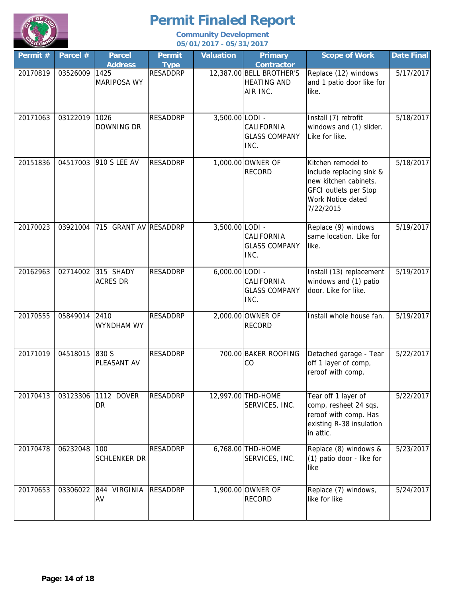

| Permit # | Parcel # | <b>Parcel</b><br><b>Address</b> | <b>Permit</b><br><b>Type</b> | <b>Valuation</b> | <b>Primary</b><br><b>Contractor</b>                        | <b>Scope of Work</b>                                                                                                               | <b>Date Final</b> |
|----------|----------|---------------------------------|------------------------------|------------------|------------------------------------------------------------|------------------------------------------------------------------------------------------------------------------------------------|-------------------|
| 20170819 | 03526009 | 1425<br><b>MARIPOSA WY</b>      | <b>RESADDRP</b>              |                  | 12,387.00 BELL BROTHER'S<br><b>HEATING AND</b><br>AIR INC. | Replace (12) windows<br>and 1 patio door like for<br>like.                                                                         | 5/17/2017         |
| 20171063 | 03122019 | 1026<br>DOWNING DR              | <b>RESADDRP</b>              | 3,500.00 LODI -  | CALIFORNIA<br><b>GLASS COMPANY</b><br>INC.                 | Install (7) retrofit<br>windows and (1) slider.<br>Like for like.                                                                  | 5/18/2017         |
| 20151836 | 04517003 | 910 S LEE AV                    | <b>RESADDRP</b>              |                  | 1,000.00 OWNER OF<br><b>RECORD</b>                         | Kitchen remodel to<br>include replacing sink &<br>new kitchen cabinets.<br>GFCI outlets per Stop<br>Work Notice dated<br>7/22/2015 | 5/18/2017         |
| 20170023 | 03921004 | 715 GRANT AV RESADDRP           |                              | 3,500.00 LODI -  | CALIFORNIA<br><b>GLASS COMPANY</b><br>INC.                 | Replace (9) windows<br>same location. Like for<br>like.                                                                            | 5/19/2017         |
| 20162963 | 02714002 | 315 SHADY<br><b>ACRES DR</b>    | <b>RESADDRP</b>              | 6,000.00 LODI -  | CALIFORNIA<br><b>GLASS COMPANY</b><br>INC.                 | Install (13) replacement<br>windows and (1) patio<br>door. Like for like.                                                          | 5/19/2017         |
| 20170555 | 05849014 | 2410<br>WYNDHAM WY              | <b>RESADDRP</b>              |                  | 2,000.00 OWNER OF<br><b>RECORD</b>                         | Install whole house fan.                                                                                                           | 5/19/2017         |
| 20171019 | 04518015 | 830 S<br>PLEASANT AV            | <b>RESADDRP</b>              |                  | 700.00 BAKER ROOFING<br>CO                                 | Detached garage - Tear<br>off 1 layer of comp,<br>reroof with comp.                                                                | 5/22/2017         |
| 20170413 | 03123306 | 1112 DOVER<br>DR                | <b>RESADDRP</b>              |                  | 12,997.00 THD-HOME<br>SERVICES, INC.                       | Tear off 1 layer of<br>comp, resheet 24 sqs,<br>reroof with comp. Has<br>existing R-38 insulation<br>in attic.                     | 5/22/2017         |
| 20170478 | 06232048 | 100<br><b>SCHLENKER DR</b>      | <b>RESADDRP</b>              |                  | 6,768.00 THD-HOME<br>SERVICES, INC.                        | Replace (8) windows &<br>(1) patio door - like for<br>like                                                                         | 5/23/2017         |
| 20170653 | 03306022 | 844 VIRGINIA<br>AV              | <b>RESADDRP</b>              |                  | 1,900.00 OWNER OF<br><b>RECORD</b>                         | Replace (7) windows,<br>like for like                                                                                              | 5/24/2017         |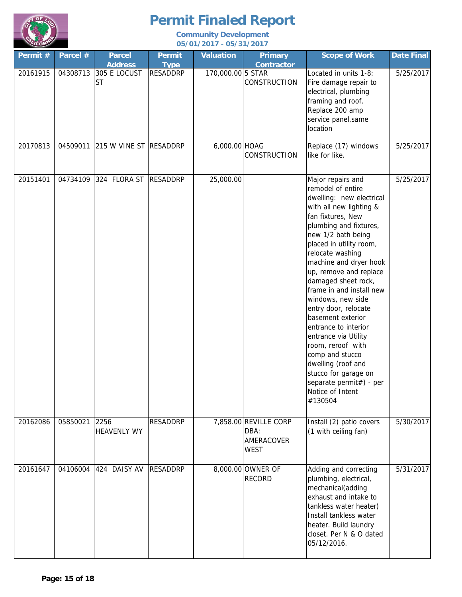

| Permit $#$ | Parcel # | <b>Parcel</b><br><b>Address</b> | <b>Permit</b><br><b>Type</b> | <b>Valuation</b>  | <b>Primary</b><br><b>Contractor</b>                        | <b>Scope of Work</b>                                                                                                                                                                                                                                                                                                                                                                                                                                                                                                                                                                       | Date Final |
|------------|----------|---------------------------------|------------------------------|-------------------|------------------------------------------------------------|--------------------------------------------------------------------------------------------------------------------------------------------------------------------------------------------------------------------------------------------------------------------------------------------------------------------------------------------------------------------------------------------------------------------------------------------------------------------------------------------------------------------------------------------------------------------------------------------|------------|
| 20161915   | 04308713 | 305 E LOCUST<br><b>ST</b>       | <b>RESADDRP</b>              | 170,000.00 5 STAR | CONSTRUCTION                                               | Located in units 1-8:<br>Fire damage repair to<br>electrical, plumbing<br>framing and roof.<br>Replace 200 amp<br>service panel, same<br>location                                                                                                                                                                                                                                                                                                                                                                                                                                          | 5/25/2017  |
| 20170813   |          | 04509011 215 W VINE ST RESADDRP |                              | 6,000.00 HOAG     | <b>CONSTRUCTION</b>                                        | Replace (17) windows<br>like for like.                                                                                                                                                                                                                                                                                                                                                                                                                                                                                                                                                     | 5/25/2017  |
| 20151401   | 04734109 | 324 FLORA ST RESADDRP           |                              | 25,000.00         |                                                            | Major repairs and<br>remodel of entire<br>dwelling: new electrical<br>with all new lighting &<br>fan fixtures, New<br>plumbing and fixtures,<br>new 1/2 bath being<br>placed in utility room,<br>relocate washing<br>machine and dryer hook<br>up, remove and replace<br>damaged sheet rock,<br>frame in and install new<br>windows, new side<br>entry door, relocate<br>basement exterior<br>entrance to interior<br>entrance via Utility<br>room, reroof with<br>comp and stucco<br>dwelling (roof and<br>stucco for garage on<br>separate permit#) - per<br>Notice of Intent<br>#130504 | 5/25/2017  |
| 20162086   | 05850021 | 2256<br><b>HEAVENLY WY</b>      | <b>RESADDRP</b>              |                   | 7,858.00 REVILLE CORP<br>DBA:<br>AMERACOVER<br><b>WEST</b> | Install (2) patio covers<br>(1 with ceiling fan)                                                                                                                                                                                                                                                                                                                                                                                                                                                                                                                                           | 5/30/2017  |
| 20161647   | 04106004 | 424 DAISY AV                    | <b>RESADDRP</b>              |                   | 8,000.00 OWNER OF<br><b>RECORD</b>                         | Adding and correcting<br>plumbing, electrical,<br>mechanical(adding<br>exhaust and intake to<br>tankless water heater)<br>Install tankless water<br>heater. Build laundry<br>closet. Per N & O dated<br>05/12/2016.                                                                                                                                                                                                                                                                                                                                                                        | 5/31/2017  |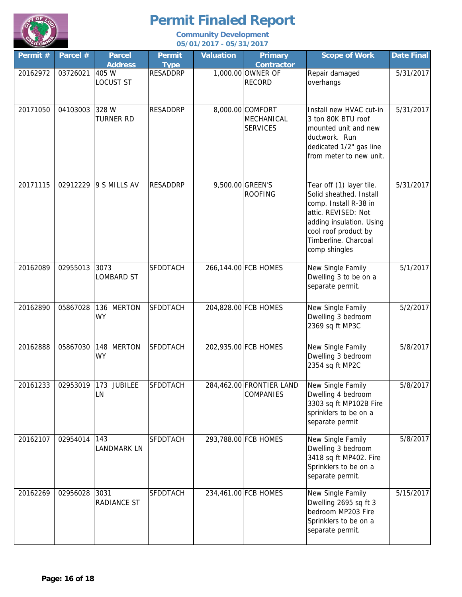

| Permit # | Parcel # | <b>Parcel</b><br><b>Address</b> | <b>Permit</b><br><b>Type</b> | <b>Valuation</b> | <b>Primary</b><br><b>Contractor</b>               | <b>Scope of Work</b>                                                                                                                                                                             | <b>Date Final</b> |
|----------|----------|---------------------------------|------------------------------|------------------|---------------------------------------------------|--------------------------------------------------------------------------------------------------------------------------------------------------------------------------------------------------|-------------------|
| 20162972 | 03726021 | 405 W<br><b>LOCUST ST</b>       | <b>RESADDRP</b>              |                  | 1,000.00 OWNER OF<br><b>RECORD</b>                | Repair damaged<br>overhangs                                                                                                                                                                      | 5/31/2017         |
| 20171050 | 04103003 | 328 W<br>TURNER RD              | <b>RESADDRP</b>              |                  | 8,000.00 COMFORT<br>MECHANICAL<br><b>SERVICES</b> | Install new HVAC cut-in<br>3 ton 80K BTU roof<br>mounted unit and new<br>ductwork. Run<br>dedicated 1/2" gas line<br>from meter to new unit.                                                     | 5/31/2017         |
| 20171115 | 02912229 | 9 S MILLS AV                    | <b>RESADDRP</b>              |                  | 9,500.00 GREEN'S<br><b>ROOFING</b>                | Tear off (1) layer tile.<br>Solid sheathed. Install<br>comp. Install R-38 in<br>attic. REVISED: Not<br>adding insulation. Using<br>cool roof product by<br>Timberline. Charcoal<br>comp shingles | 5/31/2017         |
| 20162089 | 02955013 | 3073<br><b>LOMBARD ST</b>       | SFDDTACH                     |                  | 266,144.00 FCB HOMES                              | New Single Family<br>Dwelling 3 to be on a<br>separate permit.                                                                                                                                   | 5/1/2017          |
| 20162890 | 05867028 | 136 MERTON<br><b>WY</b>         | SFDDTACH                     |                  | 204,828.00 FCB HOMES                              | New Single Family<br>Dwelling 3 bedroom<br>2369 sq ft MP3C                                                                                                                                       | 5/2/2017          |
| 20162888 | 05867030 | 148<br><b>MERTON</b><br>WY      | SFDDTACH                     |                  | 202,935.00 FCB HOMES                              | New Single Family<br>Dwelling 3 bedroom<br>2354 sq ft MP2C                                                                                                                                       | 5/8/2017          |
| 20161233 |          | 02953019 173 JUBILEE<br>LN      | <b>SFDDTACH</b>              |                  | 284,462.00 FRONTIER LAND<br><b>COMPANIES</b>      | New Single Family<br>Dwelling 4 bedroom<br>3303 sq ft MP102B Fire<br>sprinklers to be on a<br>separate permit                                                                                    | 5/8/2017          |
| 20162107 | 02954014 | 143<br><b>LANDMARK LN</b>       | SFDDTACH                     |                  | 293,788.00 FCB HOMES                              | New Single Family<br>Dwelling 3 bedroom<br>3418 sq ft MP402. Fire<br>Sprinklers to be on a<br>separate permit.                                                                                   | 5/8/2017          |
| 20162269 | 02956028 | 3031<br>RADIANCE ST             | SFDDTACH                     |                  | 234,461.00 FCB HOMES                              | New Single Family<br>Dwelling 2695 sq ft 3<br>bedroom MP203 Fire<br>Sprinklers to be on a<br>separate permit.                                                                                    | 5/15/2017         |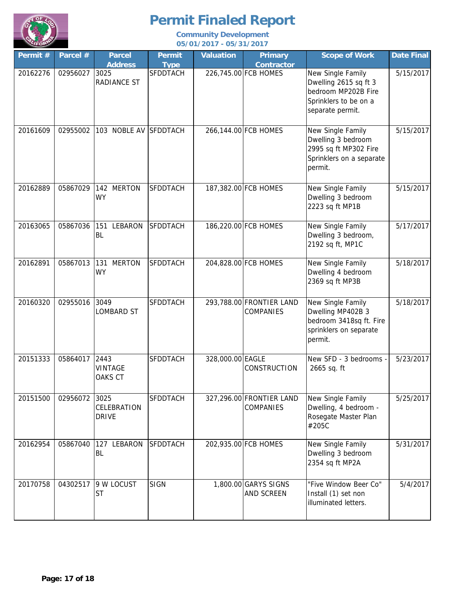

| Permit # | Parcel #      | <b>Parcel</b><br><b>Address</b>     | <b>Permit</b><br><b>Type</b> | <b>Valuation</b> | <b>Primary</b><br><b>Contractor</b>          | <b>Scope of Work</b>                                                                                           | Date Final |
|----------|---------------|-------------------------------------|------------------------------|------------------|----------------------------------------------|----------------------------------------------------------------------------------------------------------------|------------|
| 20162276 | 02956027      | 3025<br><b>RADIANCE ST</b>          | SFDDTACH                     |                  | 226,745.00 FCB HOMES                         | New Single Family<br>Dwelling 2615 sq ft 3<br>bedroom MP202B Fire<br>Sprinklers to be on a<br>separate permit. | 5/15/2017  |
| 20161609 | 02955002      | 103 NOBLE AV SFDDTACH               |                              |                  | 266,144.00 FCB HOMES                         | New Single Family<br>Dwelling 3 bedroom<br>2995 sq ft MP302 Fire<br>Sprinklers on a separate<br>permit.        | 5/15/2017  |
| 20162889 | 05867029      | 142 MERTON<br><b>WY</b>             | <b>SFDDTACH</b>              |                  | 187,382.00 FCB HOMES                         | New Single Family<br>Dwelling 3 bedroom<br>2223 sq ft MP1B                                                     | 5/15/2017  |
| 20163065 | 05867036      | 151<br>LEBARON<br><b>BL</b>         | <b>SFDDTACH</b>              |                  | 186,220.00 FCB HOMES                         | New Single Family<br>Dwelling 3 bedroom,<br>2192 sq ft, MP1C                                                   | 5/17/2017  |
| 20162891 | 05867013      | <b>MERTON</b><br>131<br><b>WY</b>   | <b>SFDDTACH</b>              |                  | 204,828.00 FCB HOMES                         | New Single Family<br>Dwelling 4 bedroom<br>2369 sq ft MP3B                                                     | 5/18/2017  |
| 20160320 | 02955016      | 3049<br><b>LOMBARD ST</b>           | <b>SFDDTACH</b>              |                  | 293,788.00 FRONTIER LAND<br><b>COMPANIES</b> | New Single Family<br>Dwelling MP402B 3<br>bedroom 3418sq ft. Fire<br>sprinklers on separate<br>permit.         | 5/18/2017  |
| 20151333 | 05864017 2443 | <b>VINTAGE</b><br><b>OAKS CT</b>    | <b>SFDDTACH</b>              | 328,000.00 EAGLE | <b>CONSTRUCTION</b>                          | New SFD - 3 bedrooms -<br>2665 sq. ft                                                                          | 5/23/2017  |
| 20151500 | 02956072      | 3025<br>CELEBRATION<br><b>DRIVE</b> | SFDDTACH                     |                  | 327,296.00 FRONTIER LAND<br><b>COMPANIES</b> | New Single Family<br>Dwelling, 4 bedroom -<br>Rosegate Master Plan<br>#205C                                    | 5/25/2017  |
| 20162954 | 05867040      | 127 LEBARON<br><b>BL</b>            | <b>SFDDTACH</b>              |                  | 202,935.00 FCB HOMES                         | New Single Family<br>Dwelling 3 bedroom<br>2354 sq ft MP2A                                                     | 5/31/2017  |
| 20170758 | 04302517      | 9 W LOCUST<br><b>ST</b>             | <b>SIGN</b>                  |                  | 1,800.00 GARYS SIGNS<br><b>AND SCREEN</b>    | "Five Window Beer Co"<br>Install (1) set non<br>illuminated letters.                                           | 5/4/2017   |